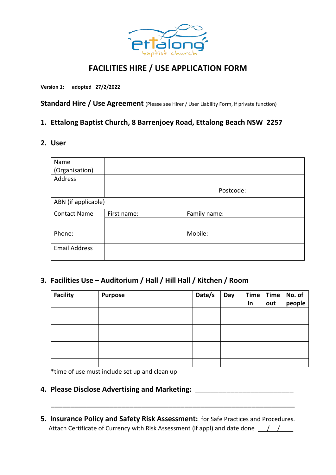

# **FACILITIES HIRE / USE APPLICATION FORM**

**Version 1: adopted 27/2/2022**

**Standard Hire / Use Agreement** (Please see Hirer / User Liability Form, if private function)

## **1. Ettalong Baptist Church, 8 Barrenjoey Road, Ettalong Beach NSW 2257**

### **2. User**

| Name                 |             |              |           |  |
|----------------------|-------------|--------------|-----------|--|
| (Organisation)       |             |              |           |  |
| Address              |             |              |           |  |
|                      |             |              | Postcode: |  |
| ABN (if applicable)  |             |              |           |  |
| <b>Contact Name</b>  | First name: | Family name: |           |  |
|                      |             |              |           |  |
| Phone:               |             | Mobile:      |           |  |
| <b>Email Address</b> |             |              |           |  |

# **3. Facilities Use – Auditorium / Hall / Hill Hall / Kitchen / Room**

| <b>Facility</b> | <b>Purpose</b> | Date/s | Day | <b>Time</b><br>In | <b>Time</b><br>out | No. of<br>people |
|-----------------|----------------|--------|-----|-------------------|--------------------|------------------|
|                 |                |        |     |                   |                    |                  |
|                 |                |        |     |                   |                    |                  |
|                 |                |        |     |                   |                    |                  |
|                 |                |        |     |                   |                    |                  |
|                 |                |        |     |                   |                    |                  |
|                 |                |        |     |                   |                    |                  |
|                 |                |        |     |                   |                    |                  |

\*time of use must include set up and clean up

## **4. Please Disclose Advertising and Marketing:** \_\_\_\_\_\_\_\_\_\_\_\_\_\_\_\_\_\_\_\_\_\_\_\_\_

**5. Insurance Policy and Safety Risk Assessment:** for Safe Practices and Procedures. Attach Certificate of Currency with Risk Assessment (if appl) and date done  $\frac{1}{\sqrt{2}}$ 

\_\_\_\_\_\_\_\_\_\_\_\_\_\_\_\_\_\_\_\_\_\_\_\_\_\_\_\_\_\_\_\_\_\_\_\_\_\_\_\_\_\_\_\_\_\_\_\_\_\_\_\_\_\_\_\_\_\_\_\_\_\_